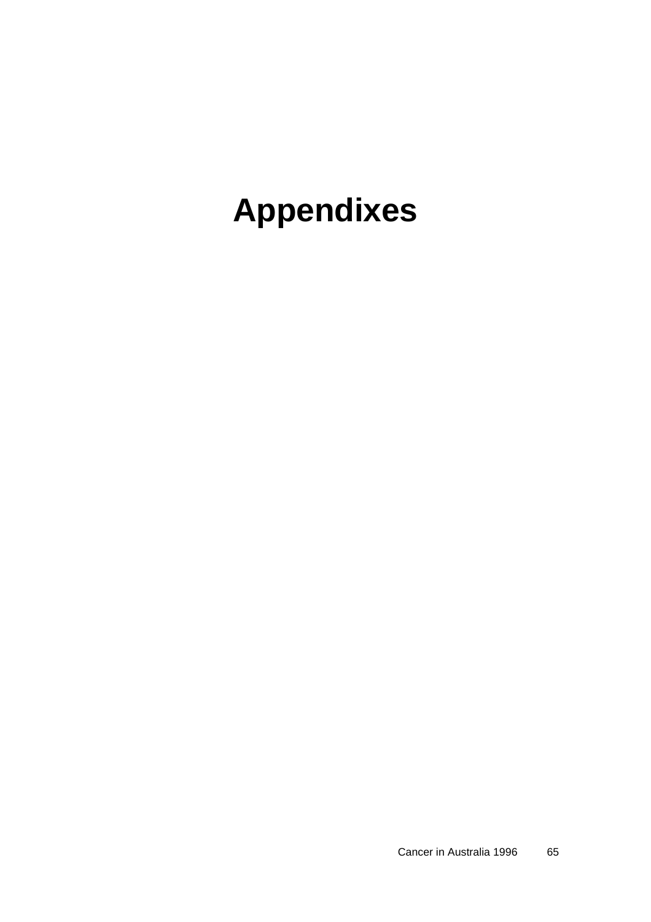# **Appendixes**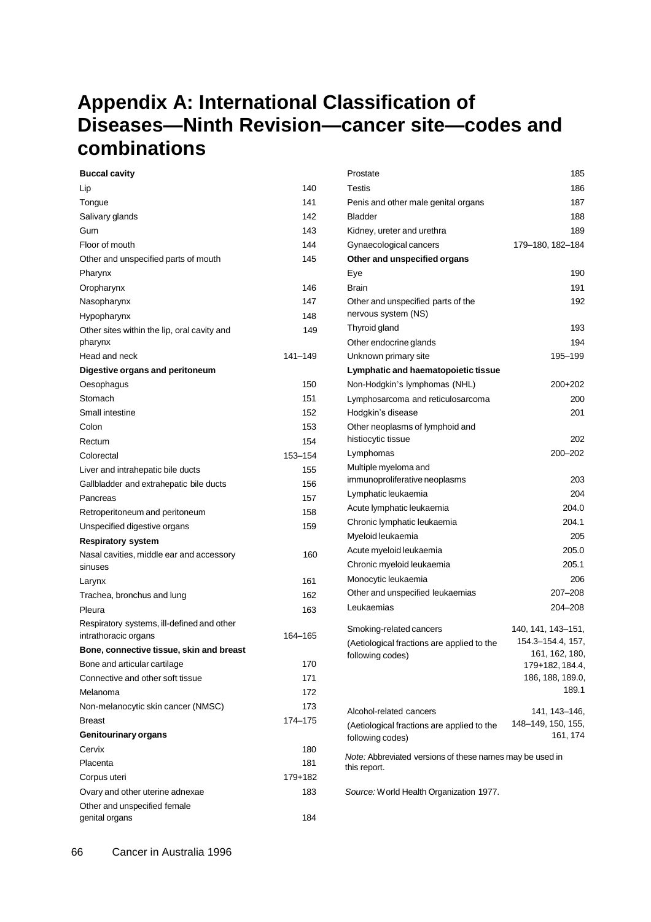## **Appendix A: International Classification of Diseases—Ninth Revision—cancer site—codes and combinations**

| <b>Buccal cavity</b>                        |             | Prostate                                                 | 185                |
|---------------------------------------------|-------------|----------------------------------------------------------|--------------------|
| Lip                                         | 140         | Testis                                                   | 186                |
| Tongue                                      | 141         | Penis and other male genital organs                      | 187                |
| Salivary glands                             | 142         | <b>Bladder</b>                                           | 188                |
| Gum                                         | 143         | Kidney, ureter and urethra                               | 189                |
| Floor of mouth                              | 144         | Gynaecological cancers                                   | 179-180, 182-184   |
| Other and unspecified parts of mouth        | 145         | Other and unspecified organs                             |                    |
| Pharynx                                     |             | Eye                                                      | 190                |
| Oropharynx                                  | 146         | <b>Brain</b>                                             | 191                |
| Nasopharynx                                 | 147         | Other and unspecified parts of the                       | 192                |
| Hypopharynx                                 | 148         | nervous system (NS)                                      |                    |
| Other sites within the lip, oral cavity and | 149         | Thyroid gland                                            | 193                |
| pharynx                                     |             | Other endocrine glands                                   | 194                |
| Head and neck                               | $141 - 149$ | Unknown primary site                                     | 195-199            |
| Digestive organs and peritoneum             |             | Lymphatic and haematopoietic tissue                      |                    |
| Oesophagus                                  | 150         | Non-Hodgkin's lymphomas (NHL)                            | 200+202            |
| Stomach                                     | 151         | Lymphosarcoma and reticulosarcoma                        | 200                |
| Small intestine                             | 152         | Hodgkin's disease                                        | 201                |
| Colon                                       | 153         | Other neoplasms of lymphoid and                          |                    |
| Rectum                                      | 154         | histiocytic tissue                                       | 202                |
| Colorectal                                  | 153-154     | Lymphomas                                                | 200-202            |
| Liver and intrahepatic bile ducts           | 155         | Multiple myeloma and                                     |                    |
| Gallbladder and extrahepatic bile ducts     | 156         | immunoproliferative neoplasms                            | 203                |
| Pancreas                                    | 157         | Lymphatic leukaemia                                      | 204                |
| Retroperitoneum and peritoneum              | 158         | Acute lymphatic leukaemia                                | 204.0              |
| Unspecified digestive organs                | 159         | Chronic lymphatic leukaemia                              | 204.1              |
| <b>Respiratory system</b>                   |             | Myeloid leukaemia                                        | 205                |
| Nasal cavities, middle ear and accessory    | 160         | Acute myeloid leukaemia                                  | 205.0              |
| sinuses                                     |             | Chronic myeloid leukaemia                                | 205.1              |
| Larynx                                      | 161         | Monocytic leukaemia                                      | 206                |
| Trachea, bronchus and lung                  | 162         | Other and unspecified leukaemias                         | 207-208            |
| Pleura                                      | 163         | Leukaemias                                               | 204-208            |
| Respiratory systems, ill-defined and other  |             | Smoking-related cancers                                  | 140, 141, 143–151, |
| intrathoracic organs                        | 164-165     | (Aetiological fractions are applied to the               | 154.3-154.4, 157,  |
| Bone, connective tissue, skin and breast    |             | following codes)                                         | 161, 162, 180,     |
| Bone and articular cartilage                | 170         |                                                          | 179+182, 184.4,    |
| Connective and other soft tissue            | 171         |                                                          | 186, 188, 189.0,   |
| Melanoma                                    | 172         |                                                          | 189.1              |
| Non-melanocytic skin cancer (NMSC)          | 173         | Alcohol-related cancers                                  | 141, 143-146,      |
| <b>Breast</b>                               | 174-175     | (Aetiological fractions are applied to the               | 148-149, 150, 155, |
| <b>Genitourinary organs</b>                 |             | following codes)                                         | 161, 174           |
| Cervix                                      | 180         | Note: Abbreviated versions of these names may be used in |                    |
| Placenta                                    | 181         | this report.                                             |                    |
| Corpus uteri                                | $179 + 182$ |                                                          |                    |
| Ovary and other uterine adnexae             | 183         | Source: World Health Organization 1977.                  |                    |
| Other and unspecified female                |             |                                                          |                    |
| genital organs                              | 184         |                                                          |                    |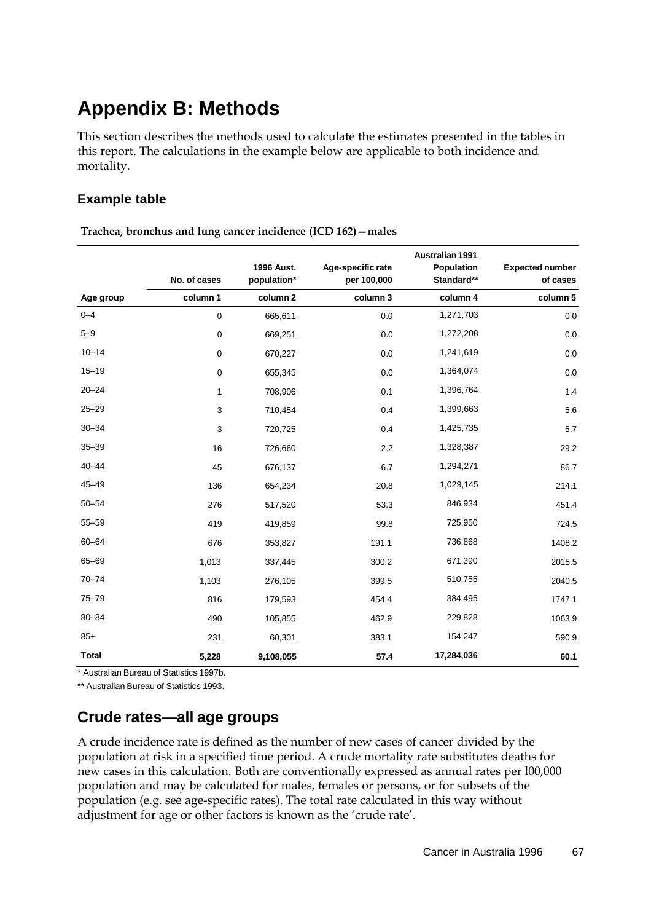# **Appendix B: Methods**

This section describes the methods used to calculate the estimates presented in the tables in this report. The calculations in the example below are applicable to both incidence and mortality.

### **Example table**

|              | No. of cases | <b>1996 Aust.</b><br>population* | Age-specific rate<br>per 100,000 | Australian 1991<br>Population<br>Standard** | <b>Expected number</b><br>of cases |
|--------------|--------------|----------------------------------|----------------------------------|---------------------------------------------|------------------------------------|
| Age group    | column 1     | column <sub>2</sub>              | column 3                         | column 4                                    | column 5                           |
| $0 - 4$      | 0            | 665,611                          | 0.0                              | 1,271,703                                   | 0.0                                |
| $5 - 9$      | 0            | 669,251                          | 0.0                              | 1,272,208                                   | 0.0                                |
| $10 - 14$    | 0            | 670,227                          | 0.0                              | 1,241,619                                   | 0.0                                |
| $15 - 19$    | $\pmb{0}$    | 655,345                          | 0.0                              | 1,364,074                                   | $0.0\,$                            |
| $20 - 24$    | 1            | 708,906                          | 0.1                              | 1,396,764                                   | 1.4                                |
| $25 - 29$    | 3            | 710,454                          | 0.4                              | 1,399,663                                   | 5.6                                |
| $30 - 34$    | 3            | 720,725                          | 0.4                              | 1,425,735                                   | 5.7                                |
| $35 - 39$    | 16           | 726,660                          | 2.2                              | 1,328,387                                   | 29.2                               |
| $40 - 44$    | 45           | 676,137                          | 6.7                              | 1,294,271                                   | 86.7                               |
| 45-49        | 136          | 654,234                          | 20.8                             | 1,029,145                                   | 214.1                              |
| $50 - 54$    | 276          | 517,520                          | 53.3                             | 846,934                                     | 451.4                              |
| $55 - 59$    | 419          | 419,859                          | 99.8                             | 725,950                                     | 724.5                              |
| 60-64        | 676          | 353,827                          | 191.1                            | 736,868                                     | 1408.2                             |
| 65-69        | 1,013        | 337,445                          | 300.2                            | 671,390                                     | 2015.5                             |
| $70 - 74$    | 1,103        | 276,105                          | 399.5                            | 510,755                                     | 2040.5                             |
| 75-79        | 816          | 179,593                          | 454.4                            | 384,495                                     | 1747.1                             |
| $80 - 84$    | 490          | 105,855                          | 462.9                            | 229,828                                     | 1063.9                             |
| $85+$        | 231          | 60,301                           | 383.1                            | 154,247                                     | 590.9                              |
| <b>Total</b> | 5,228        | 9,108,055                        | 57.4                             | 17,284,036                                  | 60.1                               |

**Trachea, bronchus and lung cancer incidence (ICD 162)—males**

\* Australian Bureau of Statistics 1997b.

\*\* Australian Bureau of Statistics 1993.

## **Crude rates—all age groups**

A crude incidence rate is defined as the number of new cases of cancer divided by the population at risk in a specified time period. A crude mortality rate substitutes deaths for new cases in this calculation. Both are conventionally expressed as annual rates per l00,000 population and may be calculated for males, females or persons, or for subsets of the population (e.g. see age-specific rates). The total rate calculated in this way without adjustment for age or other factors is known as the 'crude rate'.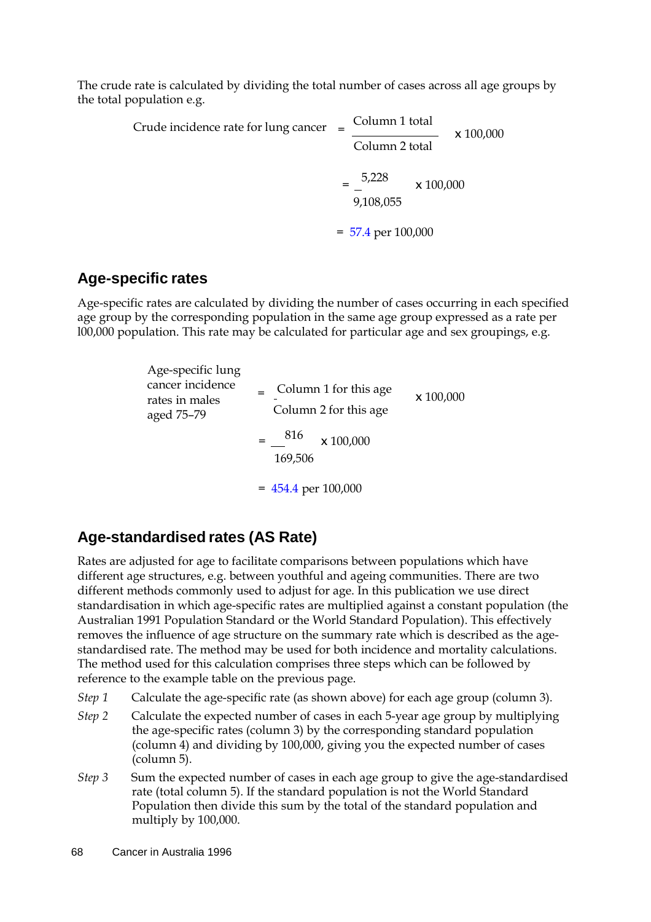The crude rate is calculated by dividing the total number of cases across all age groups by the total population e.g.

> Crude incidence rate for lung cancer  $=$   $\frac{\text{Column 1 total}}{\text{Mean 2}}$ Column 2 total x 100,000  $=\frac{5,228}{-}$ 9,108,055 x 100,000  $= 57.4$  per 100,000

### **Age-specific rates**

Age-specific rates are calculated by dividing the number of cases occurring in each specified age group by the corresponding population in the same age group expressed as a rate per l00,000 population. This rate may be calculated for particular age and sex groupings, e.g.

| Age-specific lung<br>cancer incidence<br>rates in males<br>aged 75–79 | $\equiv$ Column 1 for this age<br>Column 2 for this age | x 100,000 |  |
|-----------------------------------------------------------------------|---------------------------------------------------------|-----------|--|
|                                                                       | $=$ 816<br>x 100,000<br>169,506                         |           |  |
|                                                                       | $= 454.4$ per 100,000                                   |           |  |

## **Age-standardised rates (AS Rate)**

Rates are adjusted for age to facilitate comparisons between populations which have different age structures, e.g. between youthful and ageing communities. There are two different methods commonly used to adjust for age. In this publication we use direct standardisation in which age-specific rates are multiplied against a constant population (the Australian 1991 Population Standard or the World Standard Population). This effectively removes the influence of age structure on the summary rate which is described as the agestandardised rate. The method may be used for both incidence and mortality calculations. The method used for this calculation comprises three steps which can be followed by reference to the example table on the previous page.

- *Step 1* Calculate the age-specific rate (as shown above) for each age group (column 3).
- *Step 2* Calculate the expected number of cases in each 5-year age group by multiplying the age-specific rates (column 3) by the corresponding standard population (column 4) and dividing by 100,000, giving you the expected number of cases (column 5).
- *Step 3* Sum the expected number of cases in each age group to give the age-standardised rate (total column 5). If the standard population is not the World Standard Population then divide this sum by the total of the standard population and multiply by 100,000.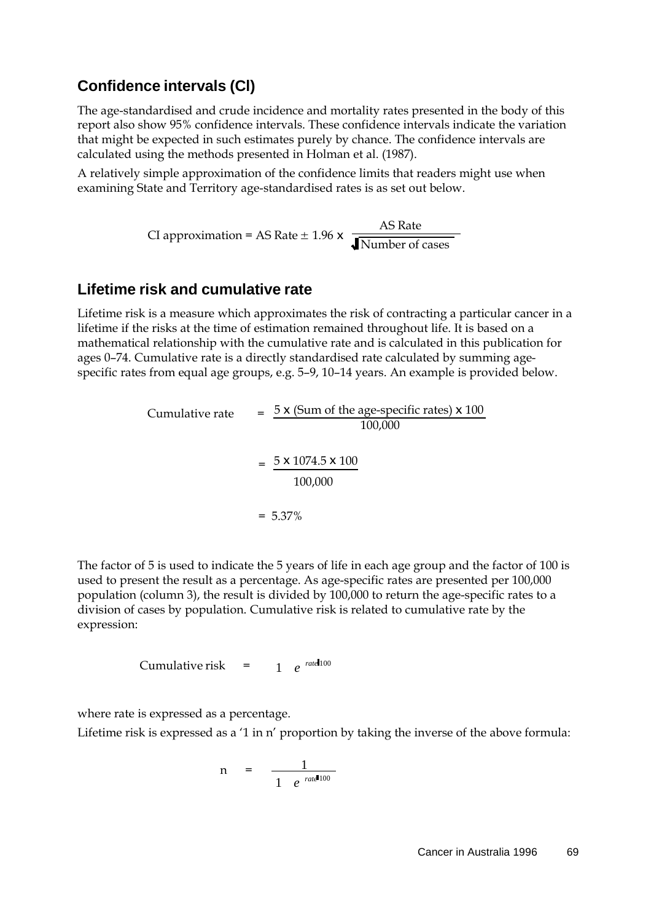## **Confidence intervals (Cl)**

The age-standardised and crude incidence and mortality rates presented in the body of this report also show 95% confidence intervals. These confidence intervals indicate the variation that might be expected in such estimates purely by chance. The confidence intervals are calculated using the methods presented in Holman et al. (1987).

A relatively simple approximation of the confidence limits that readers might use when examining State and Territory age-standardised rates is as set out below.

> CI approximation = AS Rate  $\pm$  1.96 x  $\frac{\text{AS Rate}}{\text{As } \frac{1}{2}}$ Number of cases

### **Lifetime risk and cumulative rate**

Lifetime risk is a measure which approximates the risk of contracting a particular cancer in a lifetime if the risks at the time of estimation remained throughout life. It is based on a mathematical relationship with the cumulative rate and is calculated in this publication for ages 0–74. Cumulative rate is a directly standardised rate calculated by summing agespecific rates from equal age groups, e.g. 5–9, 10–14 years. An example is provided below.

Cumulative rate 
$$
= \frac{5 \times (\text{Sum of the age-specific rates}) \times 100}{100,000}
$$

$$
= \frac{5 \times 1074.5 \times 100}{100,000}
$$

$$
= 5.37\%
$$

The factor of 5 is used to indicate the 5 years of life in each age group and the factor of 100 is used to present the result as a percentage. As age-specific rates are presented per 100,000 population (column 3), the result is divided by 100,000 to return the age-specific rates to a division of cases by population. Cumulative risk is related to cumulative rate by the expression:

Cumulative risk = 
$$
1 e^{r \text{ and } 100}
$$

where rate is expressed as a percentage.

Lifetime risk is expressed as a '1 in n' proportion by taking the inverse of the above formula:

$$
n = \frac{1}{1 e^{ratel 100}}
$$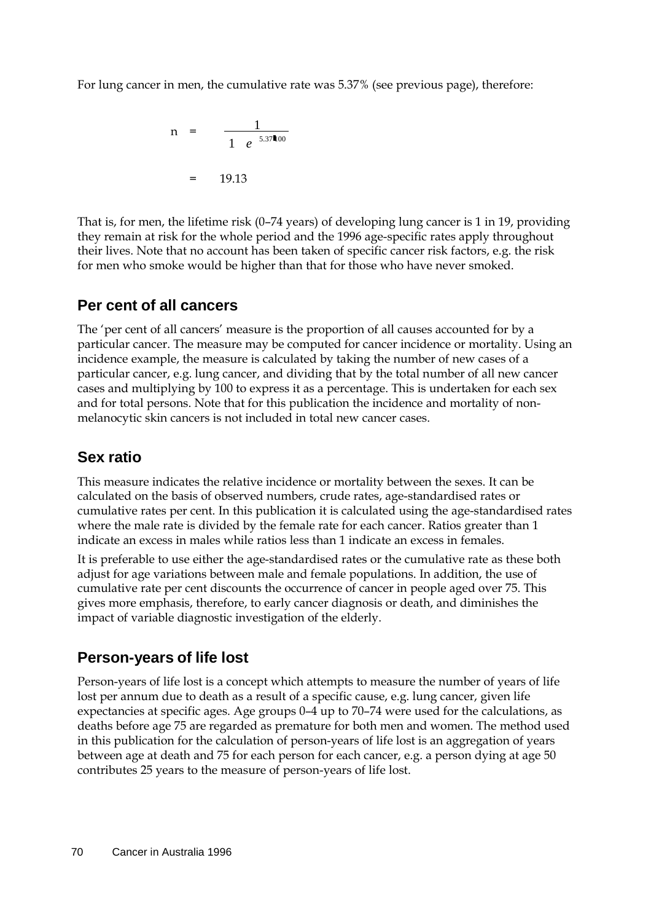For lung cancer in men, the cumulative rate was 5.37% (see previous page), therefore:

$$
n = \frac{1}{1 e^{5.37 \ln 00}}
$$
  
= 19.13

That is, for men, the lifetime risk (0–74 years) of developing lung cancer is 1 in 19, providing they remain at risk for the whole period and the 1996 age-specific rates apply throughout their lives. Note that no account has been taken of specific cancer risk factors, e.g. the risk for men who smoke would be higher than that for those who have never smoked.

## **Per cent of all cancers**

The 'per cent of all cancers' measure is the proportion of all causes accounted for by a particular cancer. The measure may be computed for cancer incidence or mortality. Using an incidence example, the measure is calculated by taking the number of new cases of a particular cancer, e.g. lung cancer, and dividing that by the total number of all new cancer cases and multiplying by 100 to express it as a percentage. This is undertaken for each sex and for total persons. Note that for this publication the incidence and mortality of nonmelanocytic skin cancers is not included in total new cancer cases.

## **Sex ratio**

This measure indicates the relative incidence or mortality between the sexes. It can be calculated on the basis of observed numbers, crude rates, age-standardised rates or cumulative rates per cent. In this publication it is calculated using the age-standardised rates where the male rate is divided by the female rate for each cancer. Ratios greater than 1 indicate an excess in males while ratios less than 1 indicate an excess in females.

It is preferable to use either the age-standardised rates or the cumulative rate as these both adjust for age variations between male and female populations. In addition, the use of cumulative rate per cent discounts the occurrence of cancer in people aged over 75. This gives more emphasis, therefore, to early cancer diagnosis or death, and diminishes the impact of variable diagnostic investigation of the elderly.

## **Person-years of life lost**

Person-years of life lost is a concept which attempts to measure the number of years of life lost per annum due to death as a result of a specific cause, e.g. lung cancer, given life expectancies at specific ages. Age groups 0–4 up to 70–74 were used for the calculations, as deaths before age 75 are regarded as premature for both men and women. The method used in this publication for the calculation of person-years of life lost is an aggregation of years between age at death and 75 for each person for each cancer, e.g. a person dying at age 50 contributes 25 years to the measure of person-years of life lost.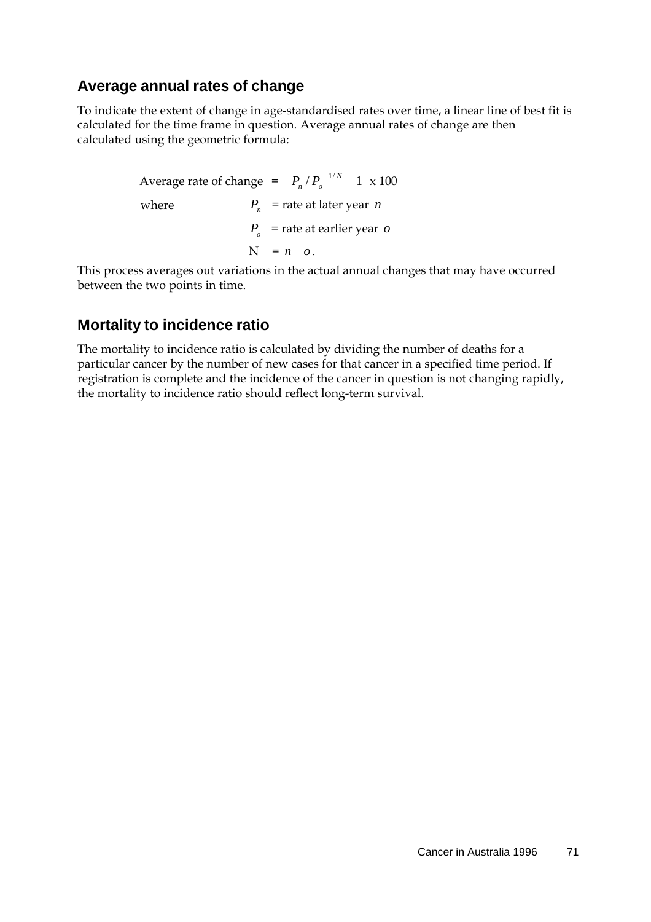## **Average annual rates of change**

To indicate the extent of change in age-standardised rates over time, a linear line of best fit is calculated for the time frame in question. Average annual rates of change are then calculated using the geometric formula:

> Average rate of change =  $P_n/P_o^{-1/N}$  1 x 100 where  $P_n$  = rate at later year *n Po* = rate at earlier year *o*  $N = n \cdot o$ .

This process averages out variations in the actual annual changes that may have occurred between the two points in time.

## **Mortality to incidence ratio**

The mortality to incidence ratio is calculated by dividing the number of deaths for a particular cancer by the number of new cases for that cancer in a specified time period. If registration is complete and the incidence of the cancer in question is not changing rapidly, the mortality to incidence ratio should reflect long-term survival.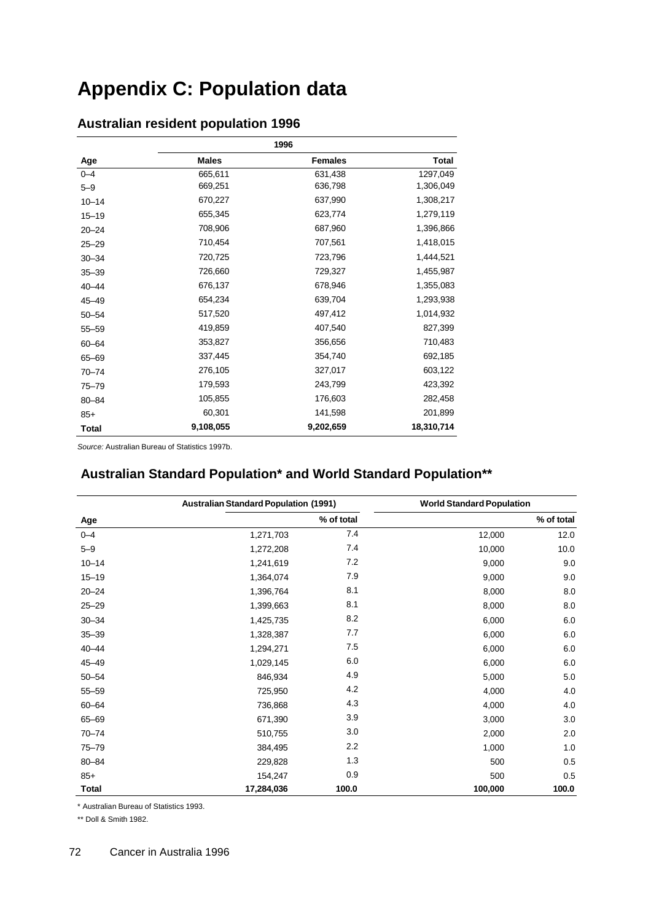## **Appendix C: Population data**

|              |              | 1996           |              |
|--------------|--------------|----------------|--------------|
| Age          | <b>Males</b> | <b>Females</b> | <b>Total</b> |
| $0 - 4$      | 665,611      | 631,438        | 1297,049     |
| $5 - 9$      | 669,251      | 636,798        | 1,306,049    |
| $10 - 14$    | 670,227      | 637,990        | 1,308,217    |
| $15 - 19$    | 655,345      | 623,774        | 1,279,119    |
| $20 - 24$    | 708,906      | 687,960        | 1,396,866    |
| $25 - 29$    | 710,454      | 707,561        | 1,418,015    |
| $30 - 34$    | 720,725      | 723,796        | 1,444,521    |
| $35 - 39$    | 726,660      | 729,327        | 1,455,987    |
| $40 - 44$    | 676,137      | 678,946        | 1,355,083    |
| $45 - 49$    | 654,234      | 639,704        | 1,293,938    |
| $50 - 54$    | 517,520      | 497,412        | 1,014,932    |
| $55 - 59$    | 419,859      | 407,540        | 827,399      |
| $60 - 64$    | 353,827      | 356,656        | 710,483      |
| 65-69        | 337,445      | 354,740        | 692,185      |
| $70 - 74$    | 276,105      | 327,017        | 603,122      |
| $75 - 79$    | 179,593      | 243,799        | 423,392      |
| 80-84        | 105,855      | 176,603        | 282,458      |
| $85+$        | 60,301       | 141,598        | 201,899      |
| <b>Total</b> | 9,108,055    | 9,202,659      | 18,310,714   |

## **Australian resident population 1996**

*Source:* Australian Bureau of Statistics 1997b.

### **Australian Standard Population\* and World Standard Population\*\***

|              | <b>Australian Standard Population (1991)</b> |            | <b>World Standard Population</b> |            |  |
|--------------|----------------------------------------------|------------|----------------------------------|------------|--|
| Age          |                                              | % of total |                                  | % of total |  |
| $0 - 4$      | 1,271,703                                    | 7.4        | 12,000                           | 12.0       |  |
| $5 - 9$      | 1,272,208                                    | 7.4        | 10,000                           | 10.0       |  |
| $10 - 14$    | 1,241,619                                    | 7.2        | 9,000                            | 9.0        |  |
| $15 - 19$    | 1,364,074                                    | 7.9        | 9,000                            | 9.0        |  |
| $20 - 24$    | 1,396,764                                    | 8.1        | 8,000                            | 8.0        |  |
| $25 - 29$    | 1,399,663                                    | 8.1        | 8,000                            | 8.0        |  |
| $30 - 34$    | 1,425,735                                    | 8.2        | 6,000                            | 6.0        |  |
| $35 - 39$    | 1,328,387                                    | 7.7        | 6,000                            | 6.0        |  |
| $40 - 44$    | 1,294,271                                    | 7.5        | 6,000                            | 6.0        |  |
| $45 - 49$    | 1,029,145                                    | 6.0        | 6,000                            | 6.0        |  |
| $50 - 54$    | 846,934                                      | 4.9        | 5,000                            | 5.0        |  |
| $55 - 59$    | 725,950                                      | 4.2        | 4,000                            | 4.0        |  |
| 60-64        | 736,868                                      | 4.3        | 4,000                            | 4.0        |  |
| 65-69        | 671,390                                      | 3.9        | 3,000                            | 3.0        |  |
| $70 - 74$    | 510,755                                      | 3.0        | 2,000                            | 2.0        |  |
| 75-79        | 384,495                                      | 2.2        | 1,000                            | 1.0        |  |
| 80-84        | 229,828                                      | 1.3        | 500                              | 0.5        |  |
| $85+$        | 154,247                                      | 0.9        | 500                              | 0.5        |  |
| <b>Total</b> | 17,284,036                                   | 100.0      | 100,000                          | 100.0      |  |

\* Australian Bureau of Statistics 1993.

\*\* Doll & Smith 1982.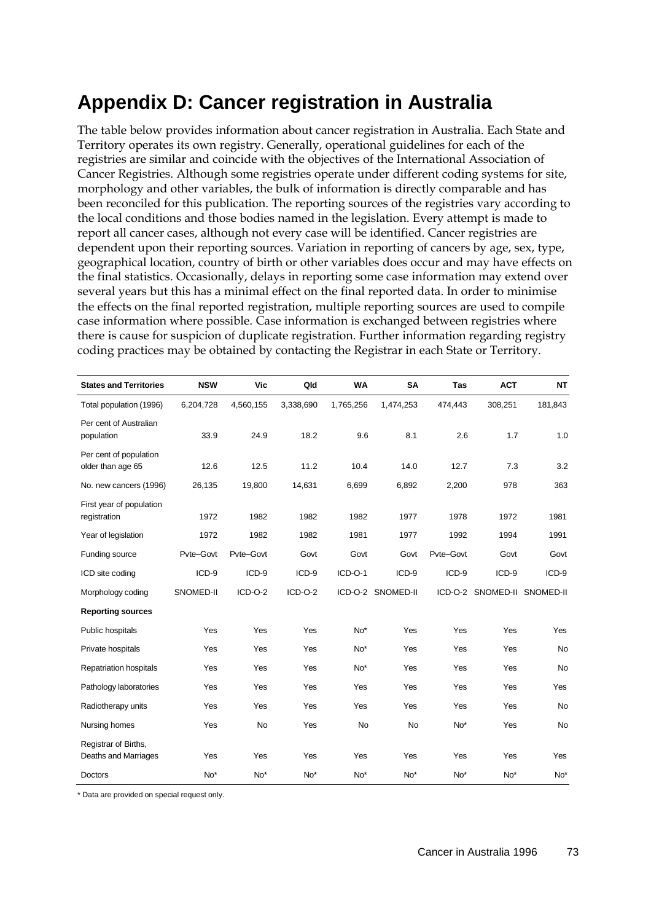## **Appendix D: Cancer registration in Australia**

The table below provides information about cancer registration in Australia. Each State and Territory operates its own registry. Generally, operational guidelines for each of the registries are similar and coincide with the objectives of the International Association of Cancer Registries. Although some registries operate under different coding systems for site, morphology and other variables, the bulk of information is directly comparable and has been reconciled for this publication. The reporting sources of the registries vary according to the local conditions and those bodies named in the legislation. Every attempt is made to report all cancer cases, although not every case will be identified. Cancer registries are dependent upon their reporting sources. Variation in reporting of cancers by age, sex, type, geographical location, country of birth or other variables does occur and may have effects on the final statistics. Occasionally, delays in reporting some case information may extend over several years but this has a minimal effect on the final reported data. In order to minimise the effects on the final reported registration, multiple reporting sources are used to compile case information where possible. Case information is exchanged between registries where there is cause for suspicion of duplicate registration. Further information regarding registry coding practices may be obtained by contacting the Registrar in each State or Territory.

| <b>States and Territories</b>                | <b>NSW</b>      | Vic       | Qld       | <b>WA</b>       | <b>SA</b>         | <b>Tas</b> | <b>ACT</b>                  | <b>NT</b>       |
|----------------------------------------------|-----------------|-----------|-----------|-----------------|-------------------|------------|-----------------------------|-----------------|
| Total population (1996)                      | 6,204,728       | 4,560,155 | 3,338,690 | 1,765,256       | 1,474,253         | 474,443    | 308,251                     | 181,843         |
| Per cent of Australian<br>population         | 33.9            | 24.9      | 18.2      | 9.6             | 8.1               | 2.6        | 1.7                         | 1.0             |
| Per cent of population<br>older than age 65  | 12.6            | 12.5      | 11.2      | 10.4            | 14.0              | 12.7       | 7.3                         | 3.2             |
| No. new cancers (1996)                       | 26,135          | 19,800    | 14,631    | 6,699           | 6,892             | 2,200      | 978                         | 363             |
| First year of population<br>registration     | 1972            | 1982      | 1982      | 1982            | 1977              | 1978       | 1972                        | 1981            |
| Year of legislation                          | 1972            | 1982      | 1982      | 1981            | 1977              | 1992       | 1994                        | 1991            |
| Funding source                               | Pvte-Govt       | Pvte-Govt | Govt      | Govt            | Govt              | Pvte-Govt  | Govt                        | Govt            |
| ICD site coding                              | ICD-9           | ICD-9     | ICD-9     | ICD-O-1         | ICD-9             | ICD-9      | ICD-9                       | ICD-9           |
| Morphology coding                            | SNOMED-II       | $ICD-O-2$ | $ICD-O-2$ |                 | ICD-O-2 SNOMED-II |            | ICD-O-2 SNOMED-II SNOMED-II |                 |
| <b>Reporting sources</b>                     |                 |           |           |                 |                   |            |                             |                 |
| Public hospitals                             | Yes             | Yes       | Yes       | $No*$           | Yes               | Yes        | Yes                         | Yes             |
| Private hospitals                            | Yes             | Yes       | Yes       | No <sup>*</sup> | Yes               | Yes        | Yes                         | No              |
| <b>Repatriation hospitals</b>                | Yes             | Yes       | Yes       | $No*$           | Yes               | Yes        | Yes                         | No              |
| Pathology laboratories                       | Yes             | Yes       | Yes       | Yes             | Yes               | Yes        | Yes                         | Yes             |
| Radiotherapy units                           | Yes             | Yes       | Yes       | Yes             | Yes               | Yes        | Yes                         | No              |
| Nursing homes                                | Yes             | No        | Yes       | No              | <b>No</b>         | $No*$      | Yes                         | No              |
| Registrar of Births,<br>Deaths and Marriages | Yes             | Yes       | Yes       | Yes             | Yes               | Yes        | Yes                         | Yes             |
| <b>Doctors</b>                               | No <sup>*</sup> | $No*$     | $No*$     | No*             | No <sup>*</sup>   | $No*$      | No <sup>*</sup>             | No <sup>*</sup> |

\* Data are provided on special request only.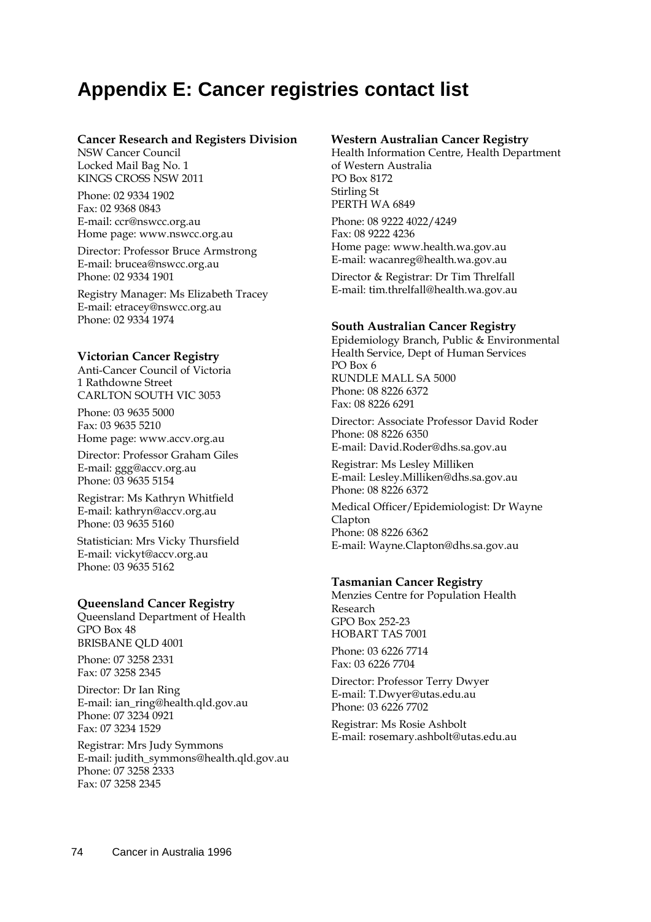## **Appendix E: Cancer registries contact list**

#### **Cancer Research and Registers Division**

NSW Cancer Council Locked Mail Bag No. 1 KINGS CROSS NSW 2011

Phone: 02 9334 1902 Fax: 02 9368 0843 E-mail: [ccr@nswcc.org.au](mailto:ccr@nswcc.org.au) Home page: [www.nswcc.org.au](http://www.nswcc.org.au/)

Director: Professor Bruce Armstrong E-mail: [brucea@nswcc.org.au](mailto:brucea@nswcc.org.au) Phone: 02 9334 1901

Registry Manager: Ms Elizabeth Tracey E-mail: [etracey@nswcc.org.au](mailto:etracey@nswcc.org.au) Phone: 02 9334 1974

#### **Victorian Cancer Registry**

Anti-Cancer Council of Victoria 1 Rathdowne Street CARLTON SOUTH VIC 3053

Phone: 03 9635 5000 Fax: 03 9635 5210 Home page: [www.accv.org.au](http://www.accv.org.au/)

Director: Professor Graham Giles E-mail: [ggg@accv.org.au](mailto:ggg@accv.org.au) Phone: 03 9635 5154

Registrar: Ms Kathryn Whitfield E-mail: [kathryn@accv.org.au](mailto:kathryn@accv.org.au)  Phone: 03 9635 5160

Statistician: Mrs Vicky Thursfield E-mail: [vickyt@accv.org.au](mailto:vickyt@accv.org.au) Phone: 03 9635 5162

#### **Queensland Cancer Registry**

Queensland Department of Health GPO Box 48 BRISBANE QLD 4001

Phone: 07 3258 2331 Fax: 07 3258 2345

Director: Dr Ian Ring E-mail: [ian\\_ring@health.qld.gov.au](mailto:ian_ring@health.qld.gov.au) Phone: 07 3234 0921 Fax: 07 3234 1529

Registrar: Mrs Judy Symmons E-mail: [judith\\_symmons@health.qld.gov.au](mailto:judith_symmons@health.qld.gov.au) Phone: 07 3258 2333 Fax: 07 3258 2345

#### **Western Australian Cancer Registry**

Health Information Centre, Health Department of Western Australia PO Box 8172 Stirling St PERTH WA 6849

Phone: 08 9222 4022/4249 Fax: 08 9222 4236 Home page: [www.health.wa.gov.au](http://www.health.wa.gov.au/) E-mail: [wacanreg@health.wa.gov.au](mailto:wacanreg@health.wa.gov.au)

Director & Registrar: Dr Tim Threlfall E-mail: [tim.threlfall@health.wa.gov.au](mailto:tim.threlfall@health.wa.gov.au)

#### **South Australian Cancer Registry**

Epidemiology Branch, Public & Environmental Health Service, Dept of Human Services PO Box 6 RUNDLE MALL SA 5000 Phone: 08 8226 6372 Fax: 08 8226 6291

Director: Associate Professor David Roder Phone: 08 8226 6350 E-mail: [David.Roder@dhs.sa.gov.au](mailto:David.Roder@dhs.sa.gov.au)

Registrar: Ms Lesley Milliken E-mail: [Lesley.Milliken@dhs.sa.gov.au](mailto:Lesley.Milliken@dhs.sa.gov.au) Phone: 08 8226 6372

Medical Officer/Epidemiologist: Dr Wayne Clapton Phone: 08 8226 6362 E-mail: [Wayne.Clapton@dhs.sa.gov.au](mailto:Wayne.Clapton@dhs.sa.gov.au)

#### **Tasmanian Cancer Registry**

Menzies Centre for Population Health Research GPO Box 252-23 HOBART TAS 7001

Phone: 03 6226 7714 Fax: 03 6226 7704

Director: Professor Terry Dwyer E-mail: [T.Dwyer@utas.edu.au](mailto:T.Dwyer@utas.edu.au) Phone: 03 6226 7702

Registrar: Ms Rosie Ashbolt E-mail: [rosemary.ashbolt@utas.edu.au](mailto:rosemary.ashbolt@utas.edu.au)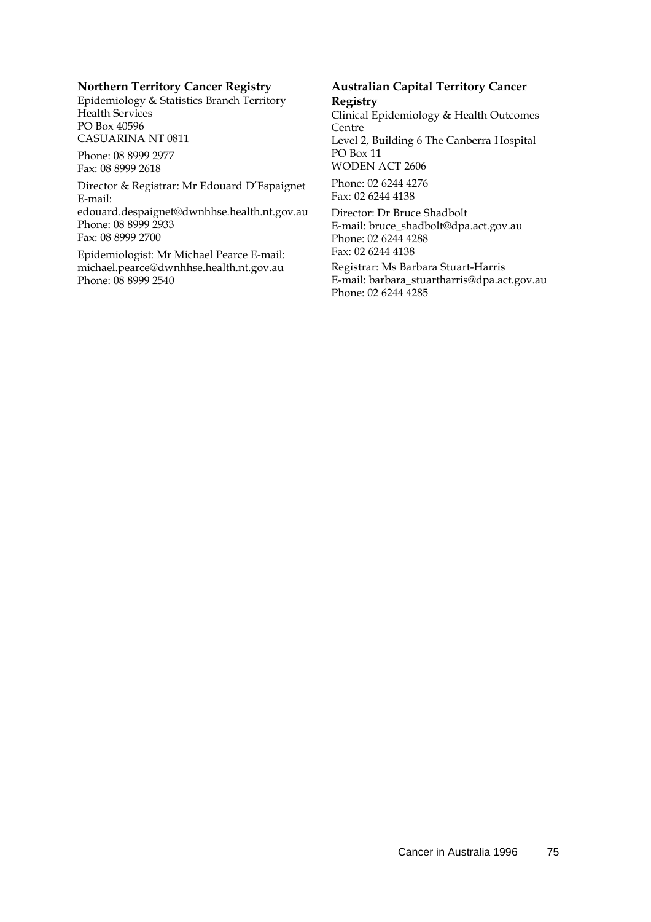#### **Northern Territory Cancer Registry**

Epidemiology & Statistics Branch Territory Health Services PO Box 40596 CASUARINA NT 0811

Phone: 08 8999 2977 Fax: 08 8999 2618

Director & Registrar: Mr Edouard [D'Espaignet](mailto:edouard.despaignet@dwnhhse.health.nt.gov.au)  E-mail: [edouard.despaignet@dwnhhse.health.nt.gov.au](mailto:edouard.despaignet@dwnhhse.health.nt.gov.au) Phone: 08 8999 2933 Fax: 08 8999 2700

Epidemiologist: Mr Michael Pearce E-mai[l:](mailto:michael.pearce@dwnhhse.health.nt.gov.au) [michael.pearce@dwnhhse.health.nt.gov.au](mailto:michael.pearce@dwnhhse.health.nt.gov.au) Phone: 08 8999 2540

#### **Australian Capital Territory Cancer Registry**

Clinical Epidemiology & Health Outcomes Centre Level 2, Building 6 The Canberra Hospital PO Box 11 WODEN ACT 2606

Phone: 02 6244 4276 Fax: 02 6244 4138

Director: Dr Bruce Shadbolt E-mail: [bruce\\_shadbolt@dpa.act.gov.au](mailto:bruce_shadbolt@dpa.act.gov.au) Phone: 02 6244 4288 Fax: 02 6244 4138

Registrar: Ms Barbara Stuart-Harris E-mail: [barbara\\_stuartharris@dpa.act.gov.au](mailto:barbara_stuartharris@dpa.act.gov.au) Phone: 02 6244 4285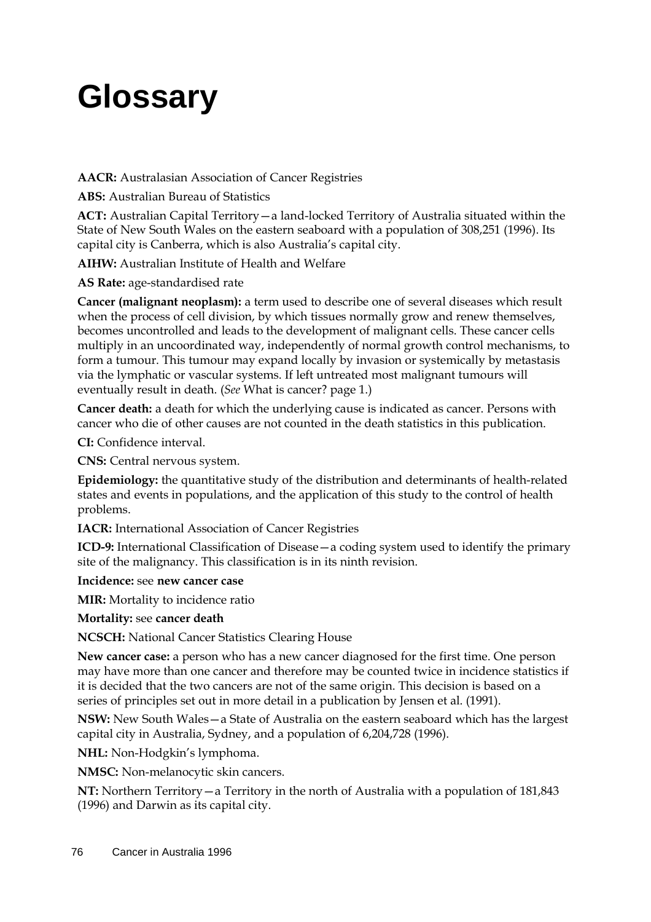# **Glossary**

**AACR:** Australasian Association of Cancer Registries

**ABS:** Australian Bureau of Statistics

**ACT:** Australian Capital Territory—a land-locked Territory of Australia situated within the State of New South Wales on the eastern seaboard with a population of 308,251 (1996). Its capital city is Canberra, which is also Australia's capital city.

**AIHW:** Australian Institute of Health and Welfare

**AS Rate:** age-standardised rate

**Cancer (malignant neoplasm):** a term used to describe one of several diseases which result when the process of cell division, by which tissues normally grow and renew themselves, becomes uncontrolled and leads to the development of malignant cells. These cancer cells multiply in an uncoordinated way, independently of normal growth control mechanisms, to form a tumour. This tumour may expand locally by invasion or systemically by metastasis via the lymphatic or vascular systems. If left untreated most malignant tumours will eventually result in death. (*See* What is cancer? page 1.)

**Cancer death:** a death for which the underlying cause is indicated as cancer. Persons with cancer who die of other causes are not counted in the death statistics in this publication.

**CI:** Confidence interval.

**CNS:** Central nervous system.

**Epidemiology:** the quantitative study of the distribution and determinants of health-related states and events in populations, and the application of this study to the control of health problems.

**IACR:** International Association of Cancer Registries

**ICD-9:** International Classification of Disease—a coding system used to identify the primary site of the malignancy. This classification is in its ninth revision.

**Incidence:** see **new cancer case** 

**MIR:** Mortality to incidence ratio

**Mortality:** see **cancer death**

**NCSCH:** National Cancer Statistics Clearing House

**New cancer case:** a person who has a new cancer diagnosed for the first time. One person may have more than one cancer and therefore may be counted twice in incidence statistics if it is decided that the two cancers are not of the same origin. This decision is based on a series of principles set out in more detail in a publication by Jensen et al. (1991).

**NSW:** New South Wales—a State of Australia on the eastern seaboard which has the largest capital city in Australia, Sydney, and a population of 6,204,728 (1996).

**NHL:** Non-Hodgkin's lymphoma.

**NMSC:** Non-melanocytic skin cancers.

**NT:** Northern Territory—a Territory in the north of Australia with a population of 181,843 (1996) and Darwin as its capital city.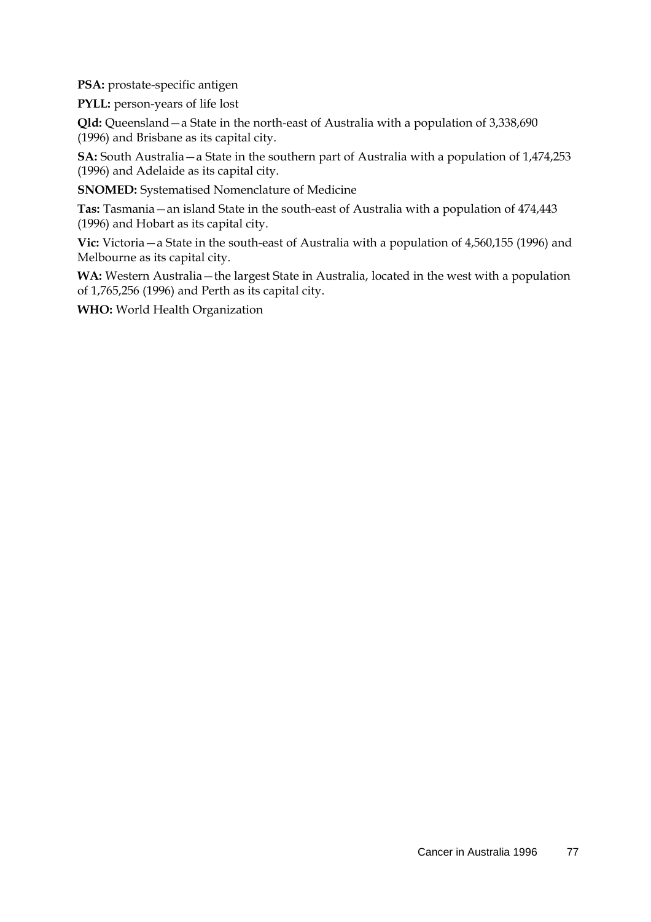**PSA:** prostate-specific antigen

**PYLL:** person-years of life lost

**Qld:** Queensland—a State in the north-east of Australia with a population of 3,338,690 (1996) and Brisbane as its capital city.

**SA:** South Australia—a State in the southern part of Australia with a population of 1,474,253 (1996) and Adelaide as its capital city.

**SNOMED:** Systematised Nomenclature of Medicine

**Tas:** Tasmania—an island State in the south-east of Australia with a population of 474,443 (1996) and Hobart as its capital city.

**Vic:** Victoria—a State in the south-east of Australia with a population of 4,560,155 (1996) and Melbourne as its capital city.

**WA:** Western Australia—the largest State in Australia, located in the west with a population of 1,765,256 (1996) and Perth as its capital city.

**WHO:** World Health Organization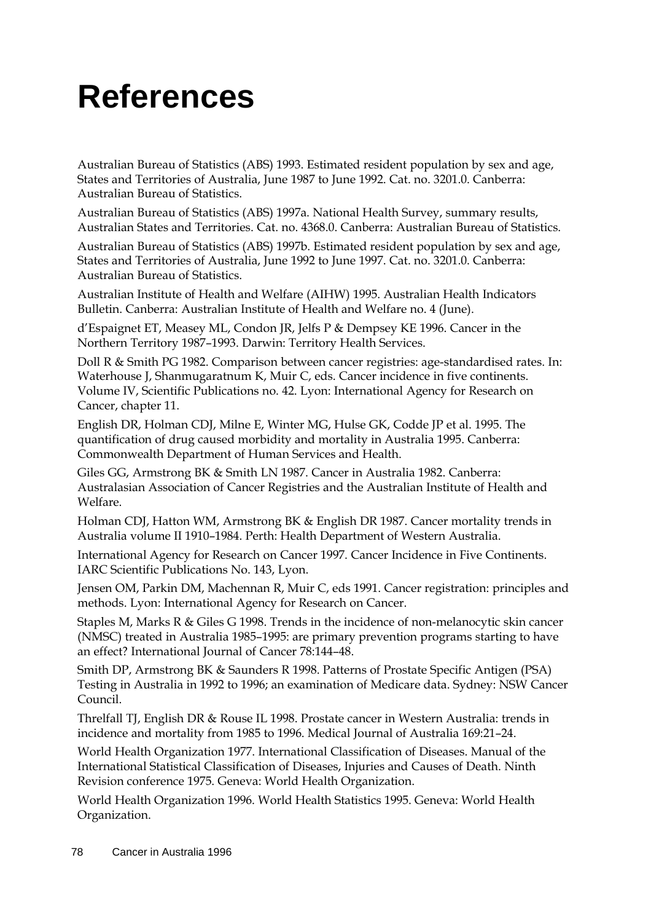# **References**

Australian Bureau of Statistics (ABS) 1993. Estimated resident population by sex and age, States and Territories of Australia, June 1987 to June 1992. Cat. no. 3201.0. Canberra: Australian Bureau of Statistics.

Australian Bureau of Statistics (ABS) 1997a. National Health Survey, summary results, Australian States and Territories. Cat. no. 4368.0. Canberra: Australian Bureau of Statistics.

Australian Bureau of Statistics (ABS) 1997b. Estimated resident population by sex and age, States and Territories of Australia, June 1992 to June 1997. Cat. no. 3201.0. Canberra: Australian Bureau of Statistics.

Australian Institute of Health and Welfare (AIHW) 1995. Australian Health Indicators Bulletin. Canberra: Australian Institute of Health and Welfare no. 4 (June).

d'Espaignet ET, Measey ML, Condon JR, Jelfs P & Dempsey KE 1996. Cancer in the Northern Territory 1987–1993. Darwin: Territory Health Services.

Doll R & Smith PG 1982. Comparison between cancer registries: age-standardised rates. In: Waterhouse J, Shanmugaratnum K, Muir C, eds. Cancer incidence in five continents. Volume IV, Scientific Publications no. 42. Lyon: International Agency for Research on Cancer, chapter 11.

English DR, Holman CDJ, Milne E, Winter MG, Hulse GK, Codde JP et al. 1995. The quantification of drug caused morbidity and mortality in Australia 1995. Canberra: Commonwealth Department of Human Services and Health.

Giles GG, Armstrong BK & Smith LN 1987. Cancer in Australia 1982. Canberra: Australasian Association of Cancer Registries and the Australian Institute of Health and Welfare.

Holman CDJ, Hatton WM, Armstrong BK & English DR 1987. Cancer mortality trends in Australia volume II 1910–1984. Perth: Health Department of Western Australia.

International Agency for Research on Cancer 1997. Cancer Incidence in Five Continents. IARC Scientific Publications No. 143, Lyon.

Jensen OM, Parkin DM, Machennan R, Muir C, eds 1991. Cancer registration: principles and methods. Lyon: International Agency for Research on Cancer.

Staples M, Marks R & Giles G 1998. Trends in the incidence of non-melanocytic skin cancer (NMSC) treated in Australia 1985–1995: are primary prevention programs starting to have an effect? International Journal of Cancer 78:144–48.

Smith DP, Armstrong BK & Saunders R 1998. Patterns of Prostate Specific Antigen (PSA) Testing in Australia in 1992 to 1996; an examination of Medicare data. Sydney: NSW Cancer Council.

Threlfall TJ, English DR & Rouse IL 1998. Prostate cancer in Western Australia: trends in incidence and mortality from 1985 to 1996. Medical Journal of Australia 169:21–24.

World Health Organization 1977. International Classification of Diseases. Manual of the International Statistical Classification of Diseases, Injuries and Causes of Death. Ninth Revision conference 1975. Geneva: World Health Organization.

World Health Organization 1996. World Health Statistics 1995. Geneva: World Health Organization.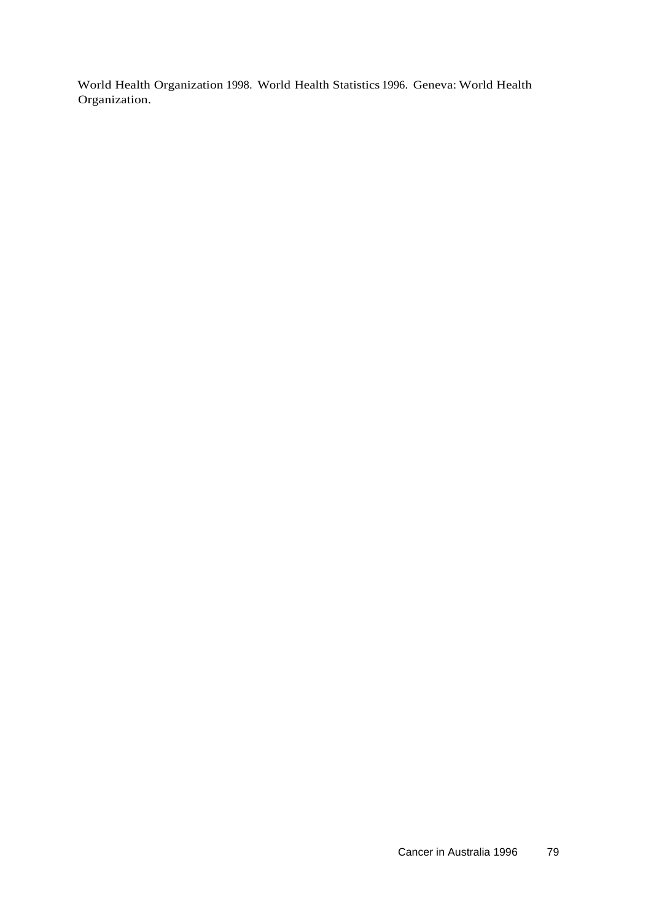World Health Organization 1998. World Health Statistics 1996. Geneva: World Health Organization.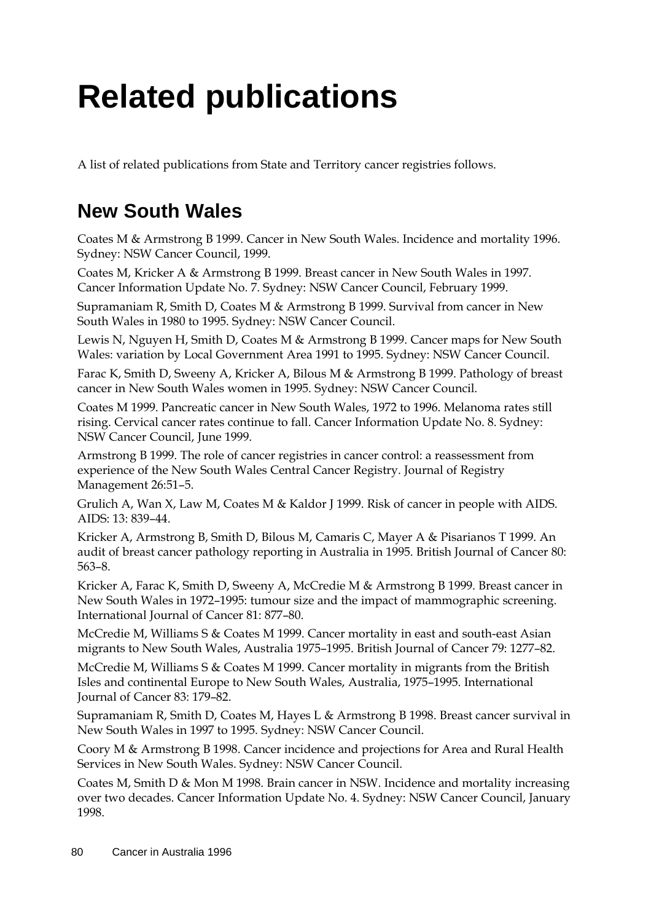# **Related publications**

A list of related publications from State and Territory cancer registries follows.

# **New South Wales**

Coates M & Armstrong B 1999. Cancer in New South Wales. Incidence and mortality 1996. Sydney: NSW Cancer Council, 1999.

Coates M, Kricker A & Armstrong B 1999. Breast cancer in New South Wales in 1997. Cancer Information Update No. 7. Sydney: NSW Cancer Council, February 1999.

Supramaniam R, Smith D, Coates M & Armstrong B 1999. Survival from cancer in New South Wales in 1980 to 1995. Sydney: NSW Cancer Council.

Lewis N, Nguyen H, Smith D, Coates M & Armstrong B 1999. Cancer maps for New South Wales: variation by Local Government Area 1991 to 1995. Sydney: NSW Cancer Council.

Farac K, Smith D, Sweeny A, Kricker A, Bilous M & Armstrong B 1999. Pathology of breast cancer in New South Wales women in 1995. Sydney: NSW Cancer Council.

Coates M 1999. Pancreatic cancer in New South Wales, 1972 to 1996. Melanoma rates still rising. Cervical cancer rates continue to fall. Cancer Information Update No. 8. Sydney: NSW Cancer Council, June 1999.

Armstrong B 1999. The role of cancer registries in cancer control: a reassessment from experience of the New South Wales Central Cancer Registry. Journal of Registry Management 26:51–5.

Grulich A, Wan X, Law M, Coates M & Kaldor J 1999. Risk of cancer in people with AIDS. AIDS: 13: 839–44.

Kricker A, Armstrong B, Smith D, Bilous M, Camaris C, Mayer A & Pisarianos T 1999. An audit of breast cancer pathology reporting in Australia in 1995. British Journal of Cancer 80: 563–8.

Kricker A, Farac K, Smith D, Sweeny A, McCredie M & Armstrong B 1999. Breast cancer in New South Wales in 1972–1995: tumour size and the impact of mammographic screening. International Journal of Cancer 81: 877–80.

McCredie M, Williams S & Coates M 1999. Cancer mortality in east and south-east Asian migrants to New South Wales, Australia 1975–1995. British Journal of Cancer 79: 1277–82.

McCredie M, Williams S & Coates M 1999. Cancer mortality in migrants from the British Isles and continental Europe to New South Wales, Australia, 1975–1995. International Journal of Cancer 83: 179–82.

Supramaniam R, Smith D, Coates M, Hayes L & Armstrong B 1998. Breast cancer survival in New South Wales in 1997 to 1995. Sydney: NSW Cancer Council.

Coory M & Armstrong B 1998. Cancer incidence and projections for Area and Rural Health Services in New South Wales. Sydney: NSW Cancer Council.

Coates M, Smith D & Mon M 1998. Brain cancer in NSW. Incidence and mortality increasing over two decades. Cancer Information Update No. 4. Sydney: NSW Cancer Council, January 1998.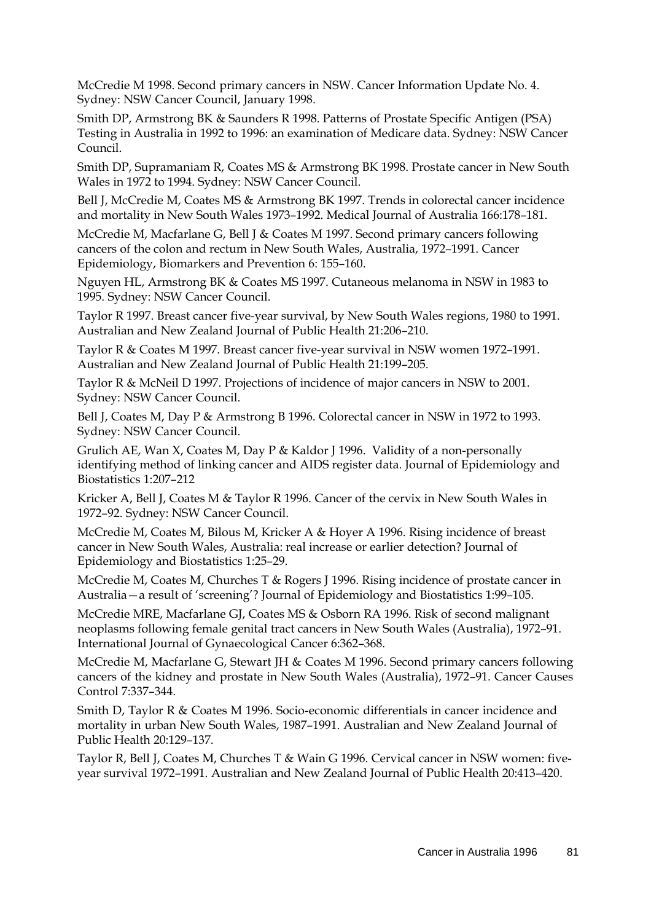McCredie M 1998. Second primary cancers in NSW. Cancer Information Update No. 4. Sydney: NSW Cancer Council, January 1998.

Smith DP, Armstrong BK & Saunders R 1998. Patterns of Prostate Specific Antigen (PSA) Testing in Australia in 1992 to 1996: an examination of Medicare data. Sydney: NSW Cancer Council.

Smith DP, Supramaniam R, Coates MS & Armstrong BK 1998. Prostate cancer in New South Wales in 1972 to 1994. Sydney: NSW Cancer Council.

Bell J, McCredie M, Coates MS & Armstrong BK 1997. Trends in colorectal cancer incidence and mortality in New South Wales 1973–1992. Medical Journal of Australia 166:178–181.

McCredie M, Macfarlane G, Bell J & Coates M 1997. Second primary cancers following cancers of the colon and rectum in New South Wales, Australia, 1972–1991. Cancer Epidemiology, Biomarkers and Prevention 6: 155–160.

Nguyen HL, Armstrong BK & Coates MS 1997. Cutaneous melanoma in NSW in 1983 to 1995. Sydney: NSW Cancer Council.

Taylor R 1997. Breast cancer five-year survival, by New South Wales regions, 1980 to 1991. Australian and New Zealand Journal of Public Health 21:206–210.

Taylor R & Coates M 1997. Breast cancer five-year survival in NSW women 1972–1991. Australian and New Zealand Journal of Public Health 21:199–205.

Taylor R & McNeil D 1997. Projections of incidence of major cancers in NSW to 2001. Sydney: NSW Cancer Council.

Bell J, Coates M, Day P & Armstrong B 1996. Colorectal cancer in NSW in 1972 to 1993. Sydney: NSW Cancer Council.

Grulich AE, Wan X, Coates M, Day P & Kaldor J 1996. Validity of a non-personally identifying method of linking cancer and AIDS register data. Journal of Epidemiology and Biostatistics 1:207–212

Kricker A, Bell J, Coates M & Taylor R 1996. Cancer of the cervix in New South Wales in 1972–92. Sydney: NSW Cancer Council.

McCredie M, Coates M, Bilous M, Kricker A & Hoyer A 1996. Rising incidence of breast cancer in New South Wales, Australia: real increase or earlier detection? Journal of Epidemiology and Biostatistics 1:25–29.

McCredie M, Coates M, Churches T & Rogers J 1996. Rising incidence of prostate cancer in Australia—a result of 'screening'? Journal of Epidemiology and Biostatistics 1:99–105.

McCredie MRE, Macfarlane GJ, Coates MS & Osborn RA 1996. Risk of second malignant neoplasms following female genital tract cancers in New South Wales (Australia), 1972–91. International Journal of Gynaecological Cancer 6:362–368.

McCredie M, Macfarlane G, Stewart JH & Coates M 1996. Second primary cancers following cancers of the kidney and prostate in New South Wales (Australia), 1972–91. Cancer Causes Control 7:337–344.

Smith D, Taylor R & Coates M 1996. Socio-economic differentials in cancer incidence and mortality in urban New South Wales, 1987–1991. Australian and New Zealand Journal of Public Health 20:129–137.

Taylor R, Bell J, Coates M, Churches T & Wain G 1996. Cervical cancer in NSW women: fiveyear survival 1972–1991. Australian and New Zealand Journal of Public Health 20:413–420.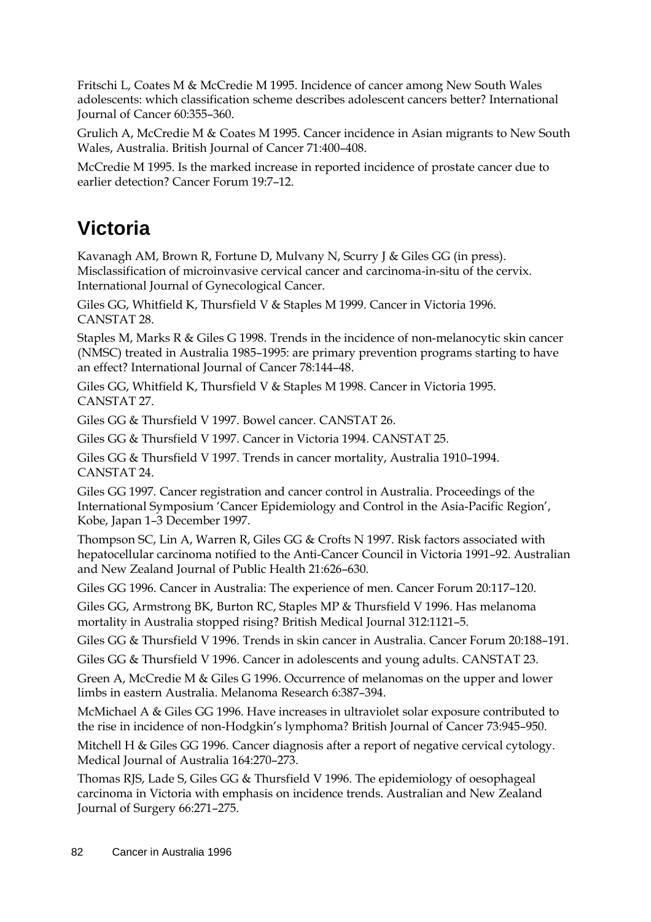Fritschi L, Coates M & McCredie M 1995. Incidence of cancer among New South Wales adolescents: which classification scheme describes adolescent cancers better? International Journal of Cancer 60:355–360.

Grulich A, McCredie M & Coates M 1995. Cancer incidence in Asian migrants to New South Wales, Australia. British Journal of Cancer 71:400–408.

McCredie M 1995. Is the marked increase in reported incidence of prostate cancer due to earlier detection? Cancer Forum 19:7–12.

# **Victoria**

Kavanagh AM, Brown R, Fortune D, Mulvany N, Scurry J & Giles GG (in press). Misclassification of microinvasive cervical cancer and carcinoma-in-situ of the cervix. International Journal of Gynecological Cancer.

Giles GG, Whitfield K, Thursfield V & Staples M 1999. Cancer in Victoria 1996. CANSTAT 28.

Staples M, Marks R & Giles G 1998. Trends in the incidence of non-melanocytic skin cancer (NMSC) treated in Australia 1985–1995: are primary prevention programs starting to have an effect? International Journal of Cancer 78:144–48.

Giles GG, Whitfield K, Thursfield V & Staples M 1998. Cancer in Victoria 1995. CANSTAT 27.

Giles GG & Thursfield V 1997. Bowel cancer. CANSTAT 26.

Giles GG & Thursfield V 1997. Cancer in Victoria 1994. CANSTAT 25.

Giles GG & Thursfield V 1997. Trends in cancer mortality, Australia 1910–1994. CANSTAT 24.

Giles GG 1997. Cancer registration and cancer control in Australia. Proceedings of the International Symposium 'Cancer Epidemiology and Control in the Asia-Pacific Region', Kobe, Japan 1–3 December 1997.

Thompson SC, Lin A, Warren R, Giles GG & Crofts N 1997. Risk factors associated with hepatocellular carcinoma notified to the Anti-Cancer Council in Victoria 1991–92. Australian and New Zealand Journal of Public Health 21:626–630.

Giles GG 1996. Cancer in Australia: The experience of men. Cancer Forum 20:117–120.

Giles GG, Armstrong BK, Burton RC, Staples MP & Thursfield V 1996. Has melanoma mortality in Australia stopped rising? British Medical Journal 312:1121–5.

Giles GG & Thursfield V 1996. Trends in skin cancer in Australia. Cancer Forum 20:188–191.

Giles GG & Thursfield V 1996. Cancer in adolescents and young adults. CANSTAT 23.

Green A, McCredie M & Giles G 1996. Occurrence of melanomas on the upper and lower limbs in eastern Australia. Melanoma Research 6:387–394.

McMichael A & Giles GG 1996. Have increases in ultraviolet solar exposure contributed to the rise in incidence of non-Hodgkin's lymphoma? British Journal of Cancer 73:945–950.

Mitchell H & Giles GG 1996. Cancer diagnosis after a report of negative cervical cytology. Medical Journal of Australia 164:270–273.

Thomas RJS, Lade S, Giles GG & Thursfield V 1996. The epidemiology of oesophageal carcinoma in Victoria with emphasis on incidence trends. Australian and New Zealand Journal of Surgery 66:271–275.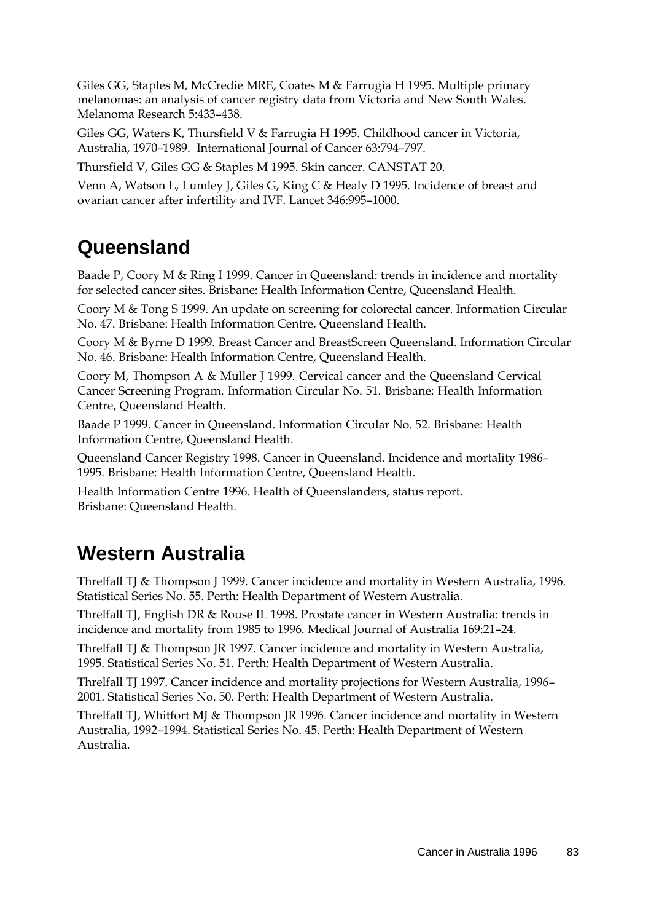Giles GG, Staples M, McCredie MRE, Coates M & Farrugia H 1995. Multiple primary melanomas: an analysis of cancer registry data from Victoria and New South Wales. Melanoma Research 5:433–438.

Giles GG, Waters K, Thursfield V & Farrugia H 1995. Childhood cancer in Victoria, Australia, 1970–1989. International Journal of Cancer 63:794–797.

Thursfield V, Giles GG & Staples M 1995. Skin cancer. CANSTAT 20.

Venn A, Watson L, Lumley J, Giles G, King C & Healy D 1995. Incidence of breast and ovarian cancer after infertility and IVF. Lancet 346:995–1000.

## **Queensland**

Baade P, Coory M & Ring I 1999. Cancer in Queensland: trends in incidence and mortality for selected cancer sites. Brisbane: Health Information Centre, Queensland Health.

Coory M & Tong S 1999. An update on screening for colorectal cancer. Information Circular No. 47. Brisbane: Health Information Centre, Queensland Health.

Coory M & Byrne D 1999. Breast Cancer and BreastScreen Queensland. Information Circular No. 46. Brisbane: Health Information Centre, Queensland Health.

Coory M, Thompson A & Muller J 1999. Cervical cancer and the Queensland Cervical Cancer Screening Program. Information Circular No. 51. Brisbane: Health Information Centre, Queensland Health.

Baade P 1999. Cancer in Queensland. Information Circular No. 52. Brisbane: Health Information Centre, Queensland Health.

Queensland Cancer Registry 1998. Cancer in Queensland. Incidence and mortality 1986– 1995. Brisbane: Health Information Centre, Queensland Health.

Health Information Centre 1996. Health of Queenslanders, status report. Brisbane: Queensland Health.

# **Western Australia**

Threlfall TJ & Thompson J 1999. Cancer incidence and mortality in Western Australia, 1996. Statistical Series No. 55. Perth: Health Department of Western Australia.

Threlfall TJ, English DR & Rouse IL 1998. Prostate cancer in Western Australia: trends in incidence and mortality from 1985 to 1996. Medical Journal of Australia 169:21–24.

Threlfall TJ & Thompson JR 1997. Cancer incidence and mortality in Western Australia, 1995. Statistical Series No. 51. Perth: Health Department of Western Australia.

Threlfall TJ 1997. Cancer incidence and mortality projections for Western Australia, 1996– 2001. Statistical Series No. 50. Perth: Health Department of Western Australia.

Threlfall TJ, Whitfort MJ & Thompson JR 1996. Cancer incidence and mortality in Western Australia, 1992–1994. Statistical Series No. 45. Perth: Health Department of Western Australia.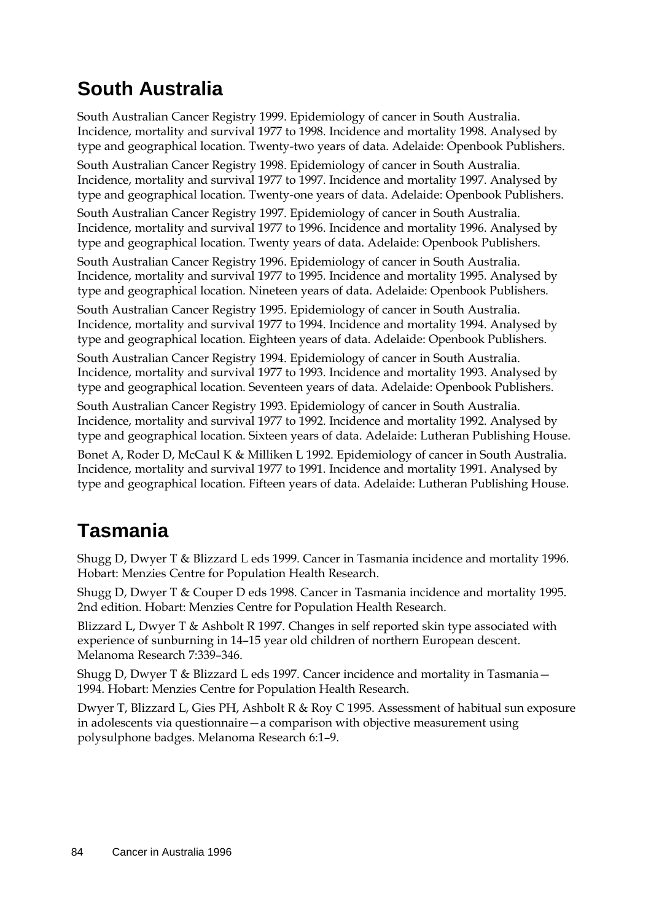# **South Australia**

South Australian Cancer Registry 1999. Epidemiology of cancer in South Australia. Incidence, mortality and survival 1977 to 1998. Incidence and mortality 1998. Analysed by type and geographical location. Twenty-two years of data. Adelaide: Openbook Publishers.

South Australian Cancer Registry 1998. Epidemiology of cancer in South Australia. Incidence, mortality and survival 1977 to 1997. Incidence and mortality 1997. Analysed by type and geographical location. Twenty-one years of data. Adelaide: Openbook Publishers.

South Australian Cancer Registry 1997. Epidemiology of cancer in South Australia. Incidence, mortality and survival 1977 to 1996. Incidence and mortality 1996. Analysed by type and geographical location. Twenty years of data. Adelaide: Openbook Publishers.

South Australian Cancer Registry 1996. Epidemiology of cancer in South Australia. Incidence, mortality and survival 1977 to 1995. Incidence and mortality 1995. Analysed by type and geographical location. Nineteen years of data. Adelaide: Openbook Publishers.

South Australian Cancer Registry 1995. Epidemiology of cancer in South Australia. Incidence, mortality and survival 1977 to 1994. Incidence and mortality 1994. Analysed by type and geographical location. Eighteen years of data. Adelaide: Openbook Publishers.

South Australian Cancer Registry 1994. Epidemiology of cancer in South Australia. Incidence, mortality and survival 1977 to 1993. Incidence and mortality 1993. Analysed by type and geographical location. Seventeen years of data. Adelaide: Openbook Publishers.

South Australian Cancer Registry 1993. Epidemiology of cancer in South Australia. Incidence, mortality and survival 1977 to 1992. Incidence and mortality 1992. Analysed by type and geographical location. Sixteen years of data. Adelaide: Lutheran Publishing House.

Bonet A, Roder D, McCaul K & Milliken L 1992. Epidemiology of cancer in South Australia. Incidence, mortality and survival 1977 to 1991. Incidence and mortality 1991. Analysed by type and geographical location. Fifteen years of data. Adelaide: Lutheran Publishing House.

# **Tasmania**

Shugg D, Dwyer T & Blizzard L eds 1999. Cancer in Tasmania incidence and mortality 1996. Hobart: Menzies Centre for Population Health Research.

Shugg D, Dwyer T & Couper D eds 1998. Cancer in Tasmania incidence and mortality 1995. 2nd edition. Hobart: Menzies Centre for Population Health Research.

Blizzard L, Dwyer T & Ashbolt R 1997. Changes in self reported skin type associated with experience of sunburning in 14–15 year old children of northern European descent. Melanoma Research 7:339–346.

Shugg D, Dwyer T & Blizzard L eds 1997. Cancer incidence and mortality in Tasmania— 1994. Hobart: Menzies Centre for Population Health Research.

Dwyer T, Blizzard L, Gies PH, Ashbolt R & Roy C 1995. Assessment of habitual sun exposure in adolescents via questionnaire—a comparison with objective measurement using polysulphone badges. Melanoma Research 6:1–9.